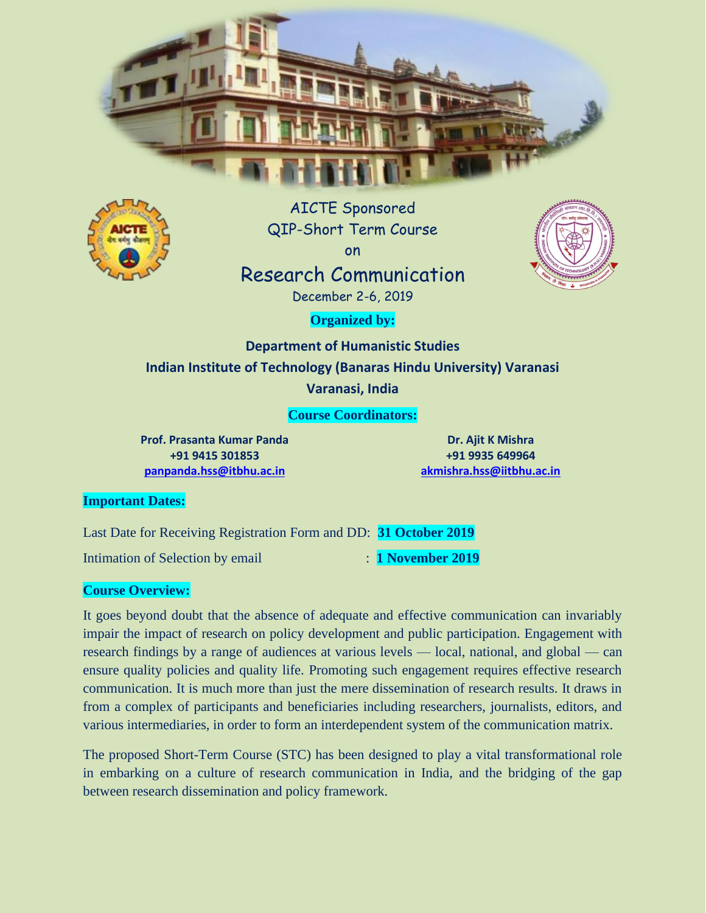



AICTE Sponsored QIP-Short Term Course on Research Communication



December 2-6, 2019

**Organized by:**

**Department of Humanistic Studies Indian Institute of Technology (Banaras Hindu University) Varanasi Varanasi, India**

**Course Coordinators:**

**Prof. Prasanta Kumar Panda +91 9415 301853 [panpanda.hss@itbhu.ac.in](mailto:panpanda.hss@itbhu.ac.in)**

**Dr. Ajit K Mishra +91 9935 649964 [akmishra.hss@iitbhu.ac.in](mailto:akmishra.hss@iitbhu.ac.in)**

#### **Important Dates:**

Last Date for Receiving Registration Form and DD: **31 October 2019**

Intimation of Selection by email : **1 November 2019** 

## **Course Overview:**

It goes beyond doubt that the absence of adequate and effective communication can invariably impair the impact of research on policy development and public participation. Engagement with research findings by a range of audiences at various levels — local, national, and global — can ensure quality policies and quality life. Promoting such engagement requires effective research communication. It is much more than just the mere dissemination of research results. It draws in from a complex of participants and beneficiaries including researchers, journalists, editors, and various intermediaries, in order to form an interdependent system of the communication matrix.

The proposed Short-Term Course (STC) has been designed to play a vital transformational role in embarking on a culture of research communication in India, and the bridging of the gap between research dissemination and policy framework.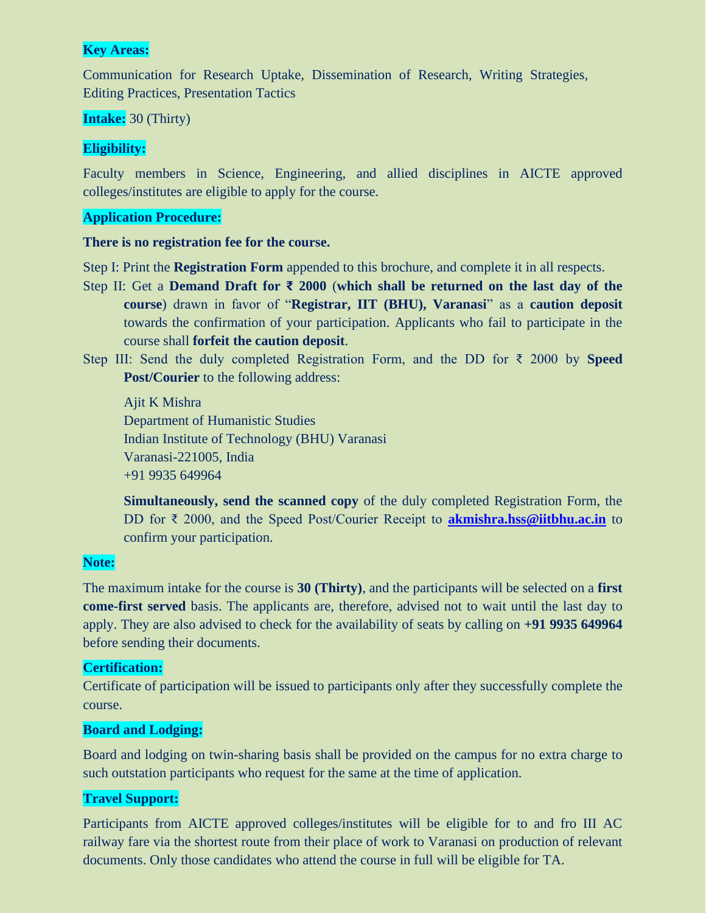#### **Key Areas:**

Communication for Research Uptake, Dissemination of Research, Writing Strategies, Editing Practices, Presentation Tactics

#### **Intake:** 30 (Thirty)

## **Eligibility:**

Faculty members in Science, Engineering, and allied disciplines in AICTE approved colleges/institutes are eligible to apply for the course.

### **Application Procedure:**

#### **There is no registration fee for the course.**

Step I: Print the **Registration Form** appended to this brochure, and complete it in all respects.

- Step II: Get a **Demand Draft for ₹ 2000** (**which shall be returned on the last day of the course**) drawn in favor of "**Registrar, IIT (BHU), Varanasi**" as a **caution deposit**  towards the confirmation of your participation. Applicants who fail to participate in the course shall **forfeit the caution deposit**.
- Step III: Send the duly completed Registration Form, and the DD for ₹ 2000 by **Speed Post/Courier** to the following address:

Ajit K Mishra Department of Humanistic Studies Indian Institute of Technology (BHU) Varanasi Varanasi-221005, India +91 9935 649964

**Simultaneously, send the scanned copy** of the duly completed Registration Form, the DD for ₹ 2000, and the Speed Post/Courier Receipt to **[akmishra.hss@iitbhu.ac.in](mailto:akmishra.hss@iitbhu.ac.in)** to confirm your participation.

#### **Note:**

The maximum intake for the course is **30 (Thirty)**, and the participants will be selected on a **first come-first served** basis. The applicants are, therefore, advised not to wait until the last day to apply. They are also advised to check for the availability of seats by calling on **+91 9935 649964** before sending their documents.

#### **Certification:**

Certificate of participation will be issued to participants only after they successfully complete the course.

#### **Board and Lodging:**

Board and lodging on twin-sharing basis shall be provided on the campus for no extra charge to such outstation participants who request for the same at the time of application.

## **Travel Support:**

Participants from AICTE approved colleges/institutes will be eligible for to and fro III AC railway fare via the shortest route from their place of work to Varanasi on production of relevant documents. Only those candidates who attend the course in full will be eligible for TA.